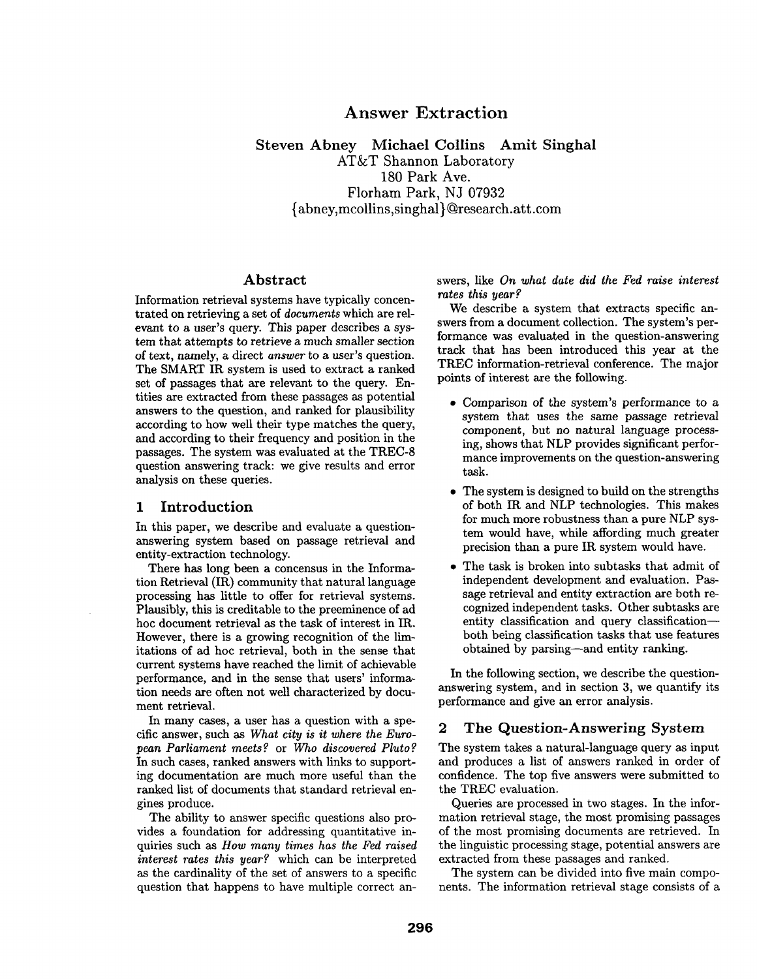#### Information retrieval systems have typically concen*rates this year?*

trated on retrieving a set of *documents* which are relevant to a user's query. This paper describes a system that attempts to retrieve a much smaller section of text, namely, a direct *answer* to a user's question. The SMART IR system is used to extract a ranked set of passages that are relevant to the query. Entities are extracted from these passages as potential answers to the question, and ranked for plausibility according to how well their type matches the query, and according to their frequency and position in the passages. The system was evaluated at the TREC-8 question answering track: we give results and error analysis on these queries.

Abstract

## **1 Introduction**

In this paper, we describe and evaluate a questionanswering system based on passage retrieval and entity-extraction technology.

There has long been a concensus in the Information Retrieval (IR) community that natural language processing has little to offer for retrieval systems. Plausibly, this is creditable to the preeminence of ad hoc document retrieval as the task of interest in IR. However, there is a growing recognition of the limitations of ad hoc retrieval, both in the sense that current systems have reached the limit of achievable performance, and in the sense that users' information needs are often not well characterized by document retrieval.

In many cases, a user has a question with a specific answer, such *as What city is it where the European Parliament meets?* or Who *discovered Pluto?*  In such cases, ranked answers with links to supporting documentation are much more useful than the ranked list of documents that standard retrieval engines produce.

The ability to answer specific questions also provides a foundation for addressing quantitative inquiries such as *How many times has the Fed raised interest rates this year?* which can be interpreted as the cardinality of the set of answers to a specific question that happens to have multiple correct an-

We describe a system that extracts specific answers from a document collection. The system's performance was evaluated in the question-answering track that has been introduced this year at the TREC information-retrieval conference. The major points of interest are the following.

swers, like *On what date did the Fed raise interest* 

- Comparison of the system's performance to a system that uses the same passage retrieval component, but no natural language processing, shows that NLP provides significant performance improvements on the question-answering task.
- The system is designed to build on the strengths of both IR and NLP technologies. This makes for much more robustness than a pure NLP system would have, while affording much greater precision than a pure IR system would have.
- The task is broken into subtasks that admit of independent development and evaluation. Passage retrieval and entity extraction are both recognized independent tasks. Other subtasks are entity classification and query classification-both being classification tasks that use features obtained by parsing--and entity ranking.

In the following section, we describe the questionanswering system, and in section 3, we quantify its performance and give an error analysis.

## 2 The Question-Answering System

The system takes a natural-language query as input and produces a list of answers ranked in order of confidence. The top five answers were submitted to the TREC evaluation.

Queries are processed in two stages. In the information retrieval stage, the most promising passages of the most promising documents are retrieved. In the linguistic processing stage, potential answers are extracted from these passages and ranked.

The system can be divided into five main components. The information retrieval stage consists of a

# **Answer Extraction**

Steven Abney Michael Collins Amit Singhal

AT&T Shannon Laboratory 180 Park Ave. Florharn Park, NJ 07932 {abney, mcollins,singhal}@research.att.corn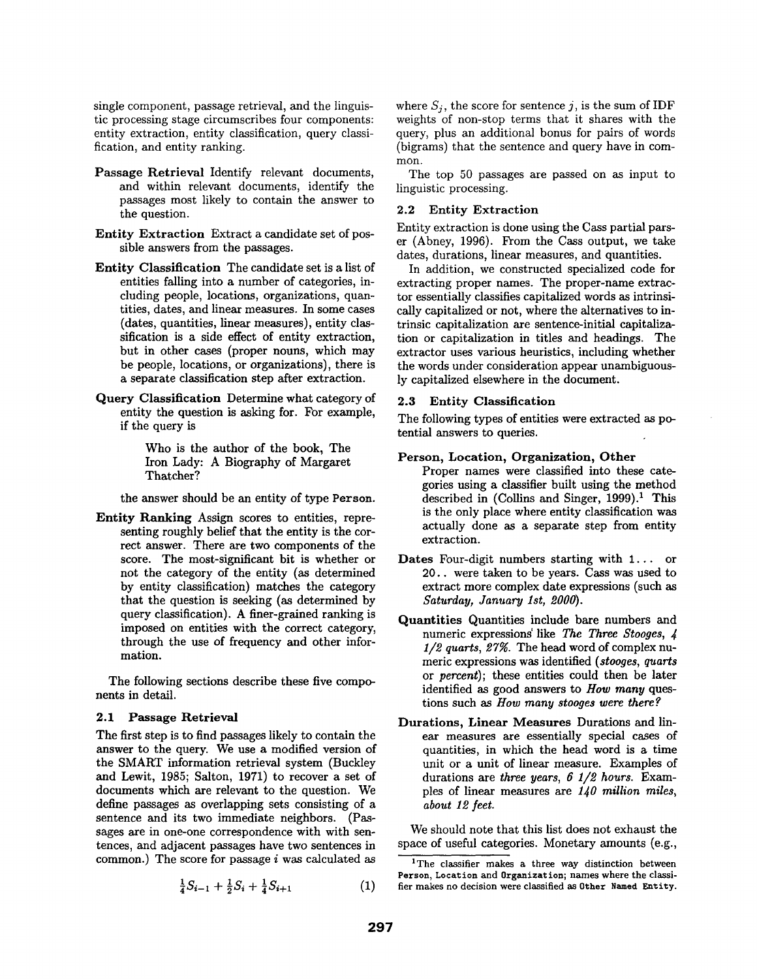single component, passage retrieval, and the linguistic processing stage circumscribes four components: entity extraction, entity classification, query classification, and entity ranking.

- Passage Retrieval Identify relevant documents, and within relevant documents, identify the passages most likely to contain the answer to the question.
- Entity Extraction Extract a candidate set of possible answers from the passages.
- **Entity Classification** The candidate set is a list of entities falling into a number of categories, including people, locations, organizations, quantities, dates, and linear measures. In some cases (dates, quantities, linear measures), entity classification is a side effect of entity extraction, but in other cases (proper nouns, which may be people, locations, or organizations), there is a separate classification step after extraction.
- Query Classification Determine what category of entity the question is asking for. For example, if the query is

Who is the author of the book, The Iron Lady: A Biography of Margaret Thatcher?

the answer should be an entity of type Person.

**Entity Ranking** Assign scores to entities, representing roughly belief that the entity is the correct answer. There are two components of the score. The most-significant bit is whether or not the category of the entity (as determined by entity classification) matches the category that the question is seeking (as determined by query classification). A finer-grained ranking is imposed on entities with the correct category, through the use of frequency and other information.

The following sections describe these five components in detail.

#### 2.1 Passage **Retrieval**

The first step is to find passages likely to contain the answer to the query. We use a modified version of the SMART information retrieval system (Buckley and Lewit, 1985; Salton, 1971) to recover a set of documents which are relevant to the question. We define passages as overlapping sets consisting of a sentence and its two immediate neighbors. (Passages are in one-one correspondence with with sentences, and adjacent passages have two sentences in common.) The score for passage i was calculated as

$$
\frac{1}{4}S_{i-1} + \frac{1}{2}S_i + \frac{1}{4}S_{i+1} \tag{1}
$$

where  $S_i$ , the score for sentence j, is the sum of IDF weights of non-stop terms that it shares with the query, plus an additional bonus for pairs of words (bigrams) that the sentence and query have in common.

The top 50 passages are passed on as input to linguistic processing.

#### 2.2 Entity Extraction

Entity extraction is done using the Cass partial parser (Abney, 1996). From the Cass output, we take dates, durations, linear measures, and quantities.

In addition, we constructed specialized code for extracting proper names. The proper-name extractor essentially classifies capitalized words as intrinsically capitalized or not, where the alternatives to intrinsic capitalization are sentence-initial capitalization or capitalization in titles and headings. The extractor uses various heuristics, including whether the words under consideration appear unambiguously capitalized elsewhere in the document.

#### **2.3 Entity Classification**

The following types of entities were extracted as potential answers to queries.

#### **Person, Location, Organization, Other**

- Proper names were classified into these categories using a classifier built using the method described in (Collins and Singer, 1999).<sup>1</sup> This is the only place where entity classification was actually done as a separate step from entity extraction.
- **Dates** Four-digit numbers starting with 1... or 20.. were taken to be years. Cass was used to extract more complex date expressions (such as *Saturday, January 1st, 2000).*
- Quantities Quantities include bare numbers and numeric expressions' like *The Three Stooges, 4*  1/2 quarts, 27%. The head word of complex numeric expressions was identified *(stooges, quarts*  or *percent);* these entities could then be later identified as good answers to *How many* questions such as *How many stooges were there ?*
- **Durations, Linear** Measures Durations and linear measures are essentially special cases of quantities, in which the head word is a time unit or a unit of linear measure. Examples of durations are *three years, 6 1/2 hours.* Examples of linear measures are *140 million miles, about 12 feet.*

We should note that this list does not exhaust the space of useful categories. Monetary amounts (e.g.,

<sup>&</sup>lt;sup>1</sup>The classifier makes a three way distinction between **Person, Location and Organization; names** where the classifier makes no decision were classified as Other Named Entity.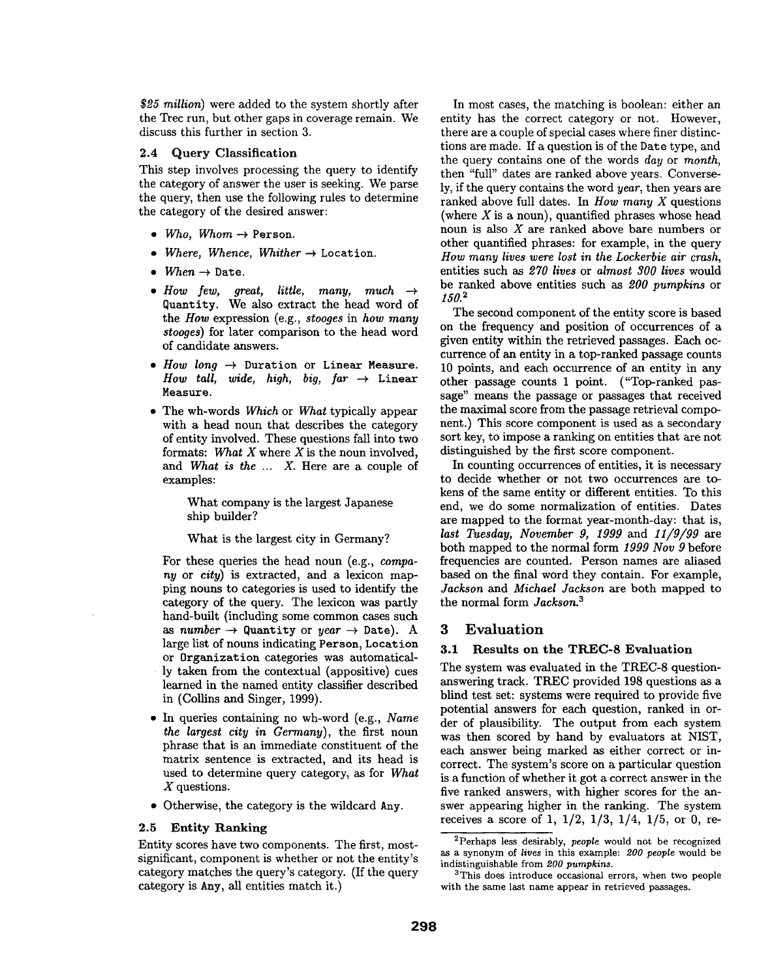*\$25 million)* were added to the system shortly after the Trec run, but other gaps in coverage remain. We discuss this further in section 3.

#### 2.4 Query **Classification**

This step involves processing the query to identify the category of answer the user is seeking. We parse the query, then use the following rules to determine the category of the desired answer:

- $\bullet$  *Who, Whom*  $\rightarrow$  Person.
- Where, Whence, Whither  $\rightarrow$  Location.
- $When \rightarrow Date.$
- How few, great, little, many, much  $\rightarrow$ Quemtity. We also extract the head word of the *How* expression (e.g., *stooges* in *how many stooges)* for later comparison to the head word of candidate answers.
- $How long \rightarrow$  Duration or Linear Measure. *How tall, wide, high, big, far*  $\rightarrow$  Linear **Measure.**
- The wh-words *Which* or *What* typically appear with a head noun that describes the category of entity involved. These questions fall into two formats: *What X* where X is the noun involved, and *What is the ... X.* Here are a couple of examples:

What company is the largest Japanese ship builder?

What is the largest city in Germany?

For these queries the head noun (e.g., *company* or *city)* is extracted, and a lexicon mapping nouns to categories is used to identify the category of the query. The lexicon was partly hand-built (including some common cases such as *number*  $\rightarrow$  Quantity or *year*  $\rightarrow$  Date). A large list of nouns indicating Person, Location or Organization categories was automatically taken from the contextual (appositive) cues learned in the named entity classifier described in (Collins and Singer, 1999).

- In queries containing no wh-word (e.g., *Name the largest city in Germany),* the first noun phrase that is an immediate constituent of the matrix sentence is extracted, and its head is used to determine query category, as for *What*  X questions.
- Otherwise, the category is the wildcard Any.

#### **2.5 Entity** Ranking

Entity scores have two components. The first, mostsignificant, component is whether or not the entity's category matches the query's category. (If the query category is Any, all entities match it.)

In most cases, the matching is boolean: either an entity has the correct category or not. However, there are a couple of special cases where finer distinctions are made. If a question is of the Date type, and the query contains one of the words *day* or *month,*  then "full" dates are ranked above years. Conversely, if the query contains the word *year,* then years are ranked above full dates. In *How many X* questions (where  $X$  is a noun), quantified phrases whose head noun is also X are ranked above bare numbers or other quantified phrases: for example, in the query *How many lives were lost in the Lockerbie air crash,*  entities such as 270 *lives* or *almost 300 lives* would be ranked above entities such *as 200 pumpkins* or *150. 2* 

The second component of the entity score is based on the frequency and position of occurrences of a given entity within the retrieved passages. Each occurrence of an entity in a top-ranked passage counts 10 points, and each occurrence of an entity in any other passage counts 1 point. ("Top-ranked passage" means the passage or passages that received the maximal score from the passage retrieval component.) This score component is used as a secondary sort key, to impose a ranking on entities that are not distinguished by the first score component.

In counting occurrences of entities, it is necessary to decide whether or not two occurrences are tokens of the same entity or different entities. To this end, we do some normalization of entities. Dates are mapped to the format year-month-day: that is, *last Tuesday, November 9, 1999* and *11/9/99* are both mapped to the normal form *1999 Nov 9* before frequencies are counted. Person names axe aliased based on the final word they contain. For example, *Jackson* and *Michael Jackson* are both mapped to the normal form *Jackson. a* 

### **3 Evaluation**

#### **3.1 Results on the TREC-8 Evaluation**

The system was evaluated in the TREC-8 questionanswering track. TREC provided 198 questions as a blind test set: systems were required to provide five potential answers for each question, ranked in order of plausibility. The output from each system was then scored by hand by evaluators at NIST, each answer being marked as either correct or incorrect. The system's score on a particular question is a function of whether it got a correct answer in the five ranked answers, with higher scores for the answer appearing higher in the ranking. The system receives a score of 1, 1/2, 1/3, 1/4, 1/5, or 0, re-

<sup>2</sup>perhaps less desirably, *people* would not be recognized as a synonym of *lives* in this example: *200 people* would be indistinguishable from *200 pumpkins.* 

<sup>&</sup>lt;sup>3</sup>This does introduce occasional errors, when two people with the same last name appear in retrieved passages.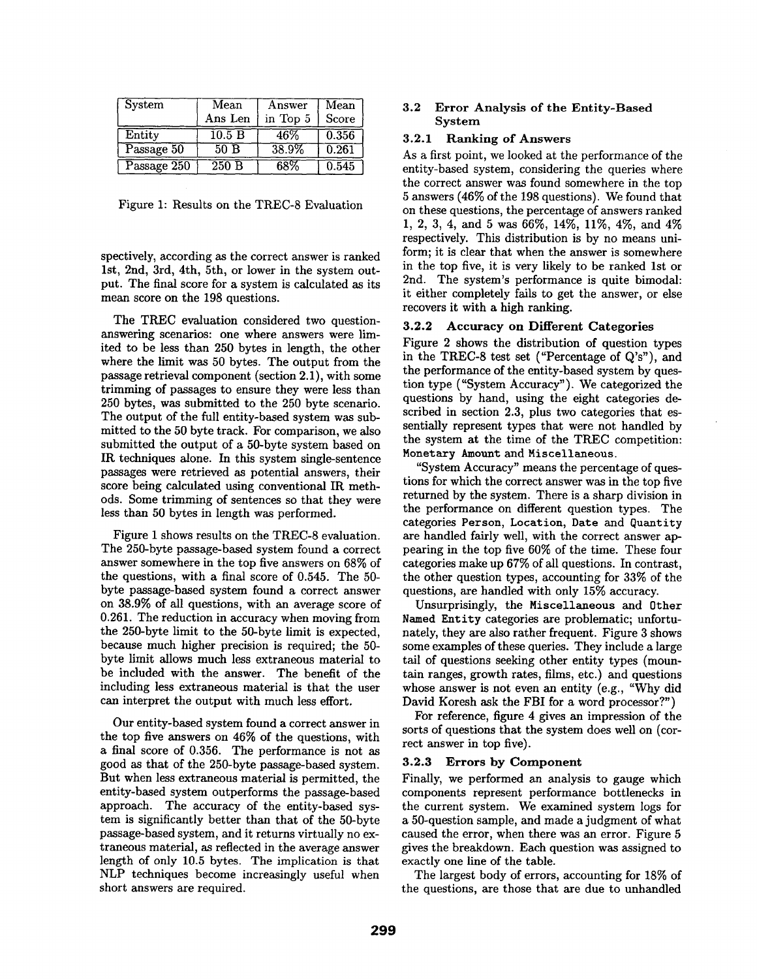| System      | Mean                | Answer   | Mean  |
|-------------|---------------------|----------|-------|
|             | Ans Len             | in Top 5 | Score |
| Entity      | $\overline{10.5}$ B | 46%      | 0.356 |
| Passage 50  | 50B                 | 38.9%    | 0.261 |
| Passage 250 | 250B                | 68%      | 0.545 |

Figure 1: Results on the TREC-8 Evaluation

spectively, according as the correct answer is ranked 1st, 2nd, 3rd, 4th, 5th, or lower in the system output. The final score for a system is calculated as its mean score on the 198 questions.

The TREC evaluation considered two questionanswering scenarios: one where answers were limited to be less than 250 bytes in length, the other where the limit was 50 bytes. The output from the passage retrieval component (section 2.1), with some trimming of passages to ensure they were less than 250 bytes, was submitted to the 250 byte scenario. The output of the full entity-based system was submitted to the 50 byte track. For comparison, we also submitted the output of a 50-byte system based on IR techniques alone. In this system single-sentence passages were retrieved as potential answers, their score being calculated using conventional IR methods. Some trimming of sentences so that they were less than 50 bytes in length was performed.

Figure 1 shows results on the TREC-8 evaluation. The 250-byte passage-based system found a correct answer somewhere in the top five answers on 68% of the questions, with a final score of 0.545. The 50 byte passage-based system found a correct answer on 38.9% of all questions, with an average score of 0.261. The reduction in accuracy when moving from the 250-byte limit to the 50-byte limit is expected, because much higher precision is required; the 50 byte limit allows much less extraneous material to be included with the answer. The benefit of the including less extraneous material is that the user can interpret the output with much less effort.

Our entity-based system found a correct answer in the top five answers on 46% of the questions, with a final score of 0.356. The performance is not as good as that of the 250-byte passage-based system. But when less extraneous material is permitted, the entity-based system outperforms the passage-based approach. The accuracy of the entity-based system is significantly better than that of the 50-byte passage-based system, and it returns virtually no extraneous material, as reflected in the average answer length of only 10.5 bytes. The implication is that NLP techniques become increasingly useful when short answers are required.

## 3.2 Error Analysis of the Entity-Based System

#### 3.2.1 Ranking of Answers

As a first point, we looked at the performance of the entity-based system, considering the queries where the correct answer was found somewhere in the top 5 answers (46% of the 198 questions). We found that on these questions, the percentage of answers ranked 1, 2, 3, 4, and 5 was 66%, 14%, 11%, 4%, and 4% respectively. This distribution is by no means uniform; it is clear that when the answer is somewhere in the top five, it is very likely to be ranked 1st or 2nd. The system's performance is quite bimodah it either completely fails to get the answer, or else recovers it with a high ranking.

#### **3.2.2 Accuracy on Different Categories**

Figure 2 shows the distribution of question types in the TREC-8 test set ("Percentage of Q's"), and the performance of the entity-based system by question type ("System Accuracy"). We categorized the questions by hand, using the eight categories described in section 2.3, plus two categories that essentially represent types that were not handled by the system at the time of the TREC competition: Monetary Amount and Miscellaneous.

"System Accuracy" means the percentage of questions for which the correct answer was in the top five returned by the system. There is a sharp division in the performance on different question types. The categories Person, Location, Date and Quantity are handled fairly well, with the correct answer appearing in the top five 60% of the time. These four categories make up 67% of all questions. In contrast, the other question types, accounting for 33% of the questions, are handled with only 15% accuracy.

Unsurprisingly, the Miscellaneous and Other Named Entity categories are problematic; unfortunately, they are also rather frequent. Figure 3 shows some examples of these queries. They include a large tail of questions seeking other entity types (mountain ranges, growth rates, films, etc.) and questions whose answer is not even an entity (e.g., "Why did David Koresh ask the FBI for a word processor?")

For reference, figure 4 gives an impression of the sorts of questions that the system does well on (correct answer in top five).

#### **3.2.3 Errors by Component**

Finally, we performed an analysis to gauge which components represent performance bottlenecks in the current system. We examined system logs for a 50-question sample, and made a judgment of what caused the error, when there was an error. Figure 5 gives the breakdown. Each question was assigned to exactly one line of the table.

The largest body of errors, accounting for 18% of the questions, are those that are due to unhandled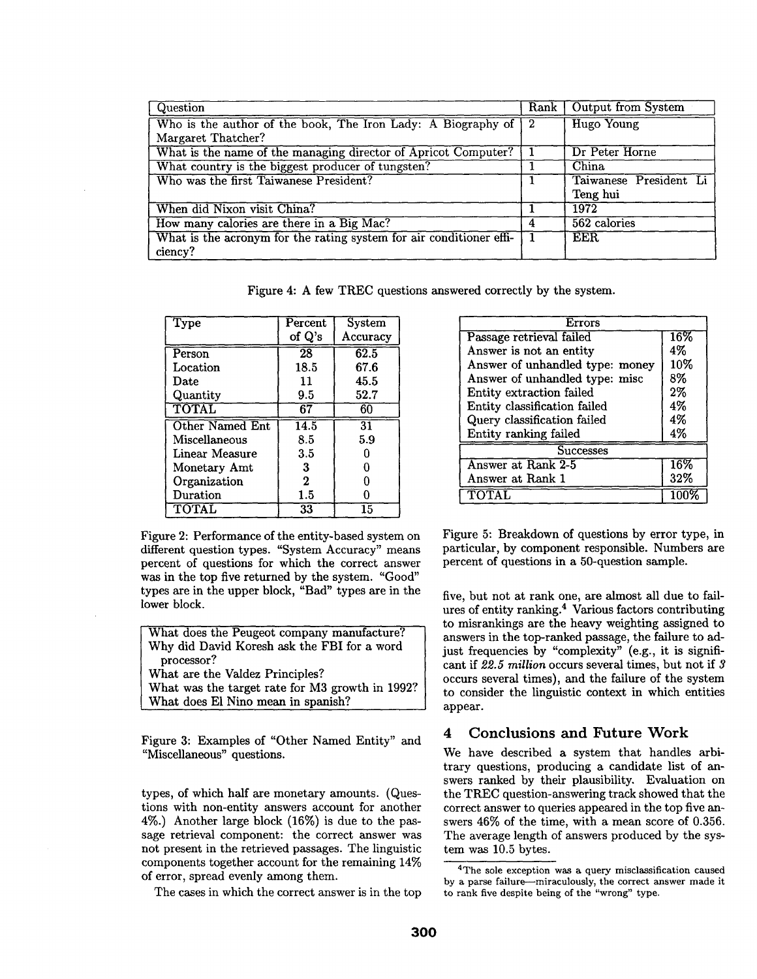| Question                                                                     |   | Rank   Output from System |
|------------------------------------------------------------------------------|---|---------------------------|
| Who is the author of the book, The Iron Lady: A Biography of $\vert 2 \vert$ |   | Hugo Young                |
| Margaret Thatcher?                                                           |   |                           |
| What is the name of the managing director of Apricot Computer?               |   | Dr Peter Horne            |
| What country is the biggest producer of tungsten?                            |   | China                     |
| Who was the first Taiwanese President?                                       |   | Taiwanese President Li    |
|                                                                              |   | Teng hui                  |
| When did Nixon visit China?                                                  |   | 1972                      |
| How many calories are there in a Big Mac?                                    | 4 | 562 calories              |
| What is the acronym for the rating system for air conditioner effi-          |   | EER.                      |
| ciency?                                                                      |   |                           |

Figure 4: A few TREC questions answered correctly by the system.

| <b>Type</b>     | Percent           | System   |
|-----------------|-------------------|----------|
|                 | of Q's            | Accuracy |
| Person          | $\overline{28}$   | 62.5     |
| Location        | 18.5              | 67.6     |
| Date            | 11                | 45.5     |
| Quantity        | 9.5               | 52.7     |
| TOTAL           | 67                | 60       |
| Other Named Ent | $\overline{14.5}$ | 31       |
| Miscellaneous   | 8.5               | 5.9      |
| Linear Measure  | $3.5\,$           | O        |
| Monetary Amt    | 3                 | U        |
| Organization    | $\mathbf{2}$      | ∩        |
| Duration        | 1.5               | Λ        |
| TOTAL           | 33                | 15       |

Figure 2: Performance of the entity-based system on different question types. "System Accuracy" means percent of questions for which the correct answer was in the top five returned by the system. "Good" types are in the upper block, "Bad" types are in the lower block.

| What does the Peugeot company manufacture?      |  |  |  |  |
|-------------------------------------------------|--|--|--|--|
| Why did David Koresh ask the FBI for a word     |  |  |  |  |
| processor?                                      |  |  |  |  |
| What are the Valdez Principles?                 |  |  |  |  |
| What was the target rate for M3 growth in 1992? |  |  |  |  |
| What does El Nino mean in spanish?              |  |  |  |  |

Figure 3: Examples of "Other Named Entity" and "Miscellaneous" questions.

types, of which half are monetary amounts. (Questions with non-entity answers account for another 4%.) Another large block (16%) is due to the passage retrieval component: the correct answer was not present in the retrieved passages. The linguistic components together account for the remaining 14% of error, spread evenly among them.

The cases in which the correct answer is in the top

| Errors                          |        |  |  |  |
|---------------------------------|--------|--|--|--|
| Passage retrieval failed        | $16\%$ |  |  |  |
| Answer is not an entity         | 4%     |  |  |  |
| Answer of unhandled type: money | 10%    |  |  |  |
| Answer of unhandled type: misc  | 8%     |  |  |  |
| Entity extraction failed        | $2\%$  |  |  |  |
| Entity classification failed    | 4%     |  |  |  |
| Query classification failed     | 4%     |  |  |  |
| Entity ranking failed           | 4%     |  |  |  |
| <b>Successes</b>                |        |  |  |  |
| Answer at Rank 2-5              | 16%    |  |  |  |
| Answer at Rank 1                | 32%    |  |  |  |
|                                 |        |  |  |  |

Figure 5: Breakdown of questions by error type, in particular, by component responsible. Numbers are percent of questions in a 50-question sample.

five, but not at rank one, are almost all due to failures of entity ranking.<sup>4</sup> Various factors contributing to misrankings are the heavy weighting assigned to answers in the top-ranked passage, the failure to adjust frequencies by "complexity" (e.g., it is significant if *22.5 million* occurs several times, but not if 3 occurs several times), and the failure of the system to consider the linguistic context in which entities appear.

## 4 Conclusions and Future Work

We have described a system that handles arbitrary questions, producing a candidate list of answers ranked by their plausibility. Evaluation on the TREC question-answering track showed that the correct answer to queries appeared in the top five answers 46% of the time, with a mean score of 0.356. The average length of answers produced by the system was 10.5 bytes.

<sup>4</sup>The sole exception was a query misclassification caused by a parse failure---miraculously, the correct answer made it to rank five despite being of the "wrong" type.